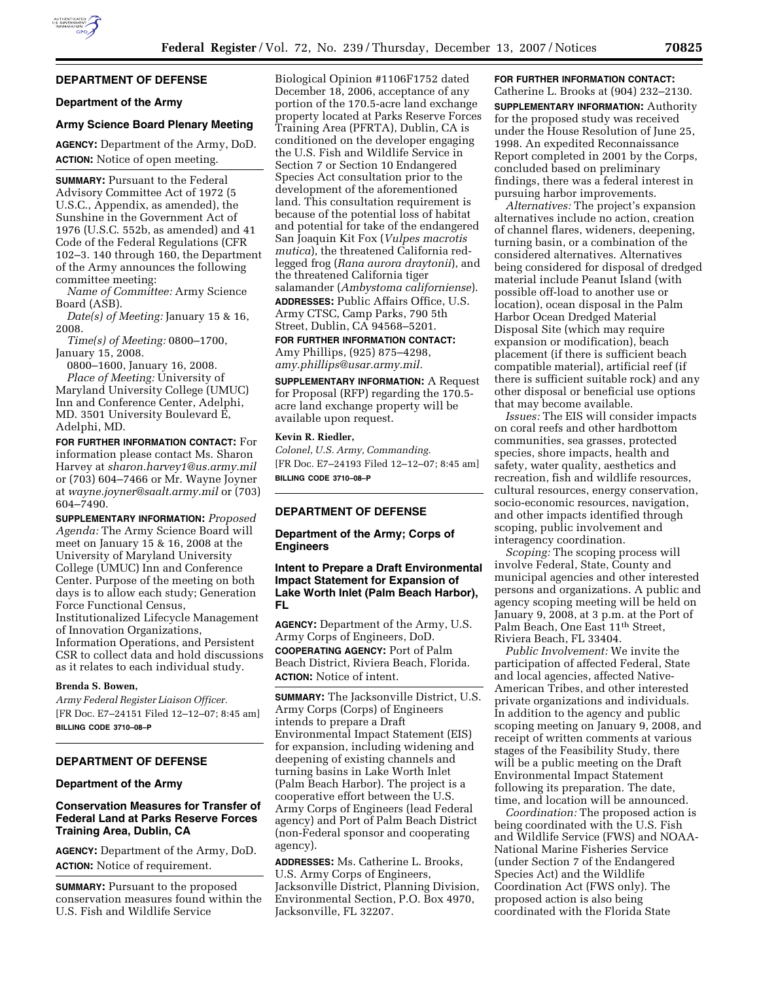

# **DEPARTMENT OF DEFENSE**

### **Department of the Army**

#### **Army Science Board Plenary Meeting**

**AGENCY:** Department of the Army, DoD. **ACTION:** Notice of open meeting.

**SUMMARY:** Pursuant to the Federal Advisory Committee Act of 1972 (5 U.S.C., Appendix, as amended), the Sunshine in the Government Act of 1976 (U.S.C. 552b, as amended) and 41 Code of the Federal Regulations (CFR 102–3. 140 through 160, the Department of the Army announces the following committee meeting:

*Name of Committee:* Army Science Board (ASB).

*Date(s) of Meeting:* January 15 & 16, 2008.

*Time(s) of Meeting:* 0800–1700, January 15, 2008.

0800–1600, January 16, 2008.

*Place of Meeting:* University of Maryland University College (UMUC) Inn and Conference Center, Adelphi, MD. 3501 University Boulevard E, Adelphi, MD.

**FOR FURTHER INFORMATION CONTACT:** For information please contact Ms. Sharon Harvey at *sharon.harvey1@us.army.mil*  or (703) 604–7466 or Mr. Wayne Joyner at *wayne.joyner@saalt.army.mil* or (703) 604–7490.

**SUPPLEMENTARY INFORMATION:** *Proposed Agenda:* The Army Science Board will meet on January 15 & 16, 2008 at the University of Maryland University College (UMUC) Inn and Conference Center. Purpose of the meeting on both days is to allow each study; Generation Force Functional Census, Institutionalized Lifecycle Management of Innovation Organizations, Information Operations, and Persistent CSR to collect data and hold discussions as it relates to each individual study.

# **Brenda S. Bowen,**

*Army Federal Register Liaison Officer.*  [FR Doc. E7–24151 Filed 12–12–07; 8:45 am] **BILLING CODE 3710–08–P** 

# **DEPARTMENT OF DEFENSE**

#### **Department of the Army**

### **Conservation Measures for Transfer of Federal Land at Parks Reserve Forces Training Area, Dublin, CA**

**AGENCY:** Department of the Army, DoD. **ACTION:** Notice of requirement.

**SUMMARY:** Pursuant to the proposed conservation measures found within the U.S. Fish and Wildlife Service

Biological Opinion #1106F1752 dated December 18, 2006, acceptance of any portion of the 170.5-acre land exchange property located at Parks Reserve Forces Training Area (PFRTA), Dublin, CA is conditioned on the developer engaging the U.S. Fish and Wildlife Service in Section 7 or Section 10 Endangered Species Act consultation prior to the development of the aforementioned land. This consultation requirement is because of the potential loss of habitat and potential for take of the endangered San Joaquin Kit Fox (*Vulpes macrotis mutica*), the threatened California redlegged frog (*Rana aurora draytonii*), and the threatened California tiger salamander (*Ambystoma californiense*). **ADDRESSES:** Public Affairs Office, U.S. Army CTSC, Camp Parks, 790 5th

Street, Dublin, CA 94568–5201.

# **FOR FURTHER INFORMATION CONTACT:**

Amy Phillips, (925) 875–4298, *amy.phillips@usar.army.mil.* 

**SUPPLEMENTARY INFORMATION:** A Request for Proposal (RFP) regarding the 170.5 acre land exchange property will be available upon request.

#### **Kevin R. Riedler,**

*Colonel, U.S. Army, Commanding.*  [FR Doc. E7–24193 Filed 12–12–07; 8:45 am] **BILLING CODE 3710–08–P** 

### **DEPARTMENT OF DEFENSE**

**Department of the Army; Corps of Engineers** 

**Intent to Prepare a Draft Environmental Impact Statement for Expansion of Lake Worth Inlet (Palm Beach Harbor), FL** 

**AGENCY:** Department of the Army, U.S. Army Corps of Engineers, DoD. **COOPERATING AGENCY:** Port of Palm Beach District, Riviera Beach, Florida. **ACTION:** Notice of intent.

**SUMMARY:** The Jacksonville District, U.S. Army Corps (Corps) of Engineers intends to prepare a Draft Environmental Impact Statement (EIS) for expansion, including widening and deepening of existing channels and turning basins in Lake Worth Inlet (Palm Beach Harbor). The project is a cooperative effort between the U.S. Army Corps of Engineers (lead Federal agency) and Port of Palm Beach District (non-Federal sponsor and cooperating agency).

**ADDRESSES:** Ms. Catherine L. Brooks, U.S. Army Corps of Engineers, Jacksonville District, Planning Division, Environmental Section, P.O. Box 4970, Jacksonville, FL 32207.

#### **FOR FURTHER INFORMATION CONTACT:**  Catherine L. Brooks at (904) 232–2130.

**SUPPLEMENTARY INFORMATION:** Authority for the proposed study was received under the House Resolution of June 25, 1998. An expedited Reconnaissance Report completed in 2001 by the Corps, concluded based on preliminary findings, there was a federal interest in pursuing harbor improvements.

*Alternatives:* The project's expansion alternatives include no action, creation of channel flares, wideners, deepening, turning basin, or a combination of the considered alternatives. Alternatives being considered for disposal of dredged material include Peanut Island (with possible off-load to another use or location), ocean disposal in the Palm Harbor Ocean Dredged Material Disposal Site (which may require expansion or modification), beach placement (if there is sufficient beach compatible material), artificial reef (if there is sufficient suitable rock) and any other disposal or beneficial use options that may become available.

*Issues:* The EIS will consider impacts on coral reefs and other hardbottom communities, sea grasses, protected species, shore impacts, health and safety, water quality, aesthetics and recreation, fish and wildlife resources, cultural resources, energy conservation, socio-economic resources, navigation, and other impacts identified through scoping, public involvement and interagency coordination.

*Scoping:* The scoping process will involve Federal, State, County and municipal agencies and other interested persons and organizations. A public and agency scoping meeting will be held on January 9, 2008, at 3 p.m. at the Port of Palm Beach, One East 11th Street, Riviera Beach, FL 33404.

*Public Involvement:* We invite the participation of affected Federal, State and local agencies, affected Native-American Tribes, and other interested private organizations and individuals. In addition to the agency and public scoping meeting on January 9, 2008, and receipt of written comments at various stages of the Feasibility Study, there will be a public meeting on the Draft Environmental Impact Statement following its preparation. The date, time, and location will be announced.

*Coordination:* The proposed action is being coordinated with the U.S. Fish and Wildlife Service (FWS) and NOAA-National Marine Fisheries Service (under Section 7 of the Endangered Species Act) and the Wildlife Coordination Act (FWS only). The proposed action is also being coordinated with the Florida State